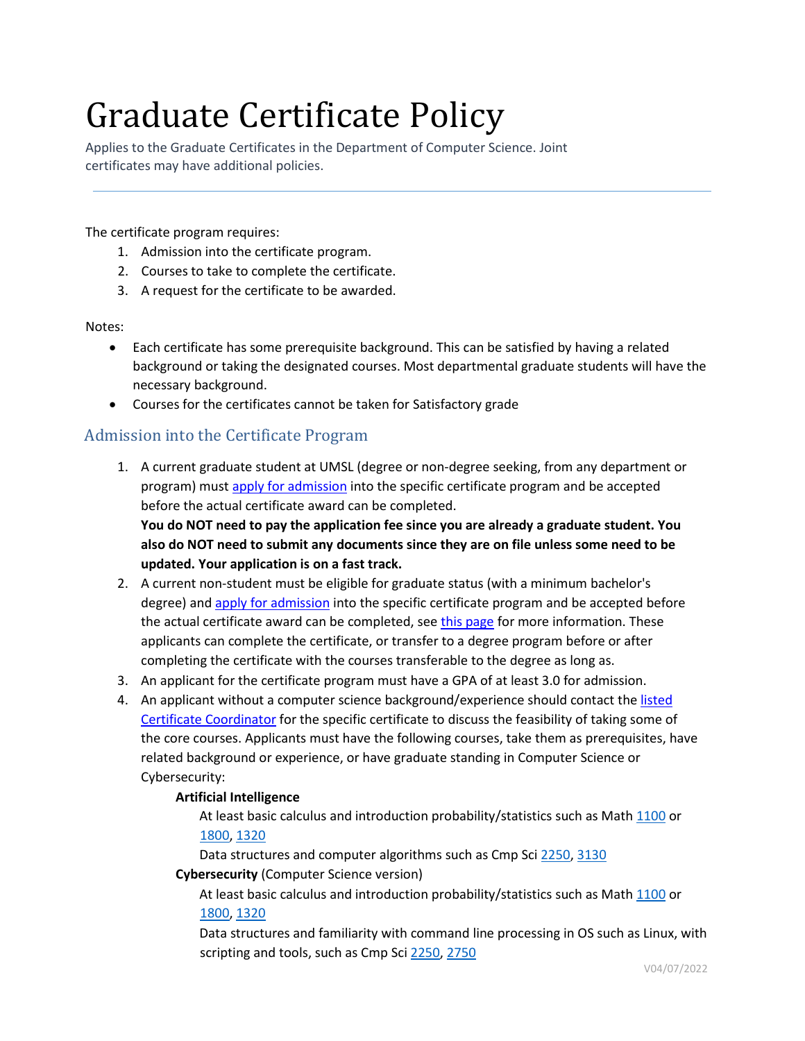# Graduate Certificate Policy

Applies to the Graduate Certificates in the Department of Computer Science. Joint certificates may have additional policies.

The certificate program requires:

- 1. Admission into the certificate program.
- 2. Courses to take to complete the certificate.
- 3. A request for the certificate to be awarded.

### Notes:

- Each certificate has some prerequisite background. This can be satisfied by having a related background or taking the designated courses. Most departmental graduate students will have the necessary background.
- Courses for the certificates cannot be taken for Satisfactory grade

# Admission into the Certificate Program

1. A current graduate student at UMSL (degree or non-degree seeking, from any department or program) mus[t apply for admission](https://apply.umsl.edu/apply/) [i](https://apply.umsl.edu/apply/)nto the specific certificate program and be accepted before the actual certificate award can be completed. **You do NOT need to pay the application fee since you are already a graduate student. You** 

**also do NOT need to submit any documents since they are on file unless some need to be updated. Your application is on a fast track.**

- 2. A current non-student must be eligible for graduate status (with a minimum bachelor's degree) an[d apply for admission](https://apply.umsl.edu/apply/) [i](https://apply.umsl.edu/apply/)nto the specific certificate program and be accepted before the actual certificate award can be completed, see [this page](https://www.umsl.edu/gradschool/prospective) [f](https://www.umsl.edu/gradschool/prospective)or more information. These applicants can complete the certificate, or transfer to a degree program before or after completing the certificate with the courses transferable to the degree as long as.
- 3. An applicant for the certificate program must have a GPA of at least 3.0 for admission.
- 4. An applicant without a computer science background/experience should contact the listed [Certificate Coordinator](http://www.umsl.edu/cs/certificates/graduate-certificates.html) [f](http://www.umsl.edu/cs/certificates/graduate-certificates.html)or the specific certificate to discuss the feasibility of taking some of the core courses. Applicants must have the following courses, take them as prerequisites, have related background or experience, or have graduate standing in Computer Science or Cybersecurity:

## **Artificial Intelligence**

At least basic calculus and introduction probability/statistics such as Math [1100](http://bulletin.umsl.edu/search/?P=MATH+1100) or [1800,](http://bulletin.umsl.edu/search/?P=MATH+1800) [1320](http://bulletin.umsl.edu/search/?P=MATH+1320)

Data structures and computer algorithms such as Cmp Sc[i 2250,](http://bulletin.umsl.edu/search/?P=CMP+SCI+2250) [3130](http://bulletin.umsl.edu/search/?P=CMP+SCI+3130)

## **Cybersecurity** (Computer Science version)

At least basic calculus and introduction probability/statistics such as Math [1100](http://bulletin.umsl.edu/search/?P=MATH+1100) or [1800,](http://bulletin.umsl.edu/search/?P=MATH+1800) [1320](http://bulletin.umsl.edu/search/?P=MATH+1320)

Data structures and familiarity with command line processing in OS such as Linux, with scripting and tools, such as Cmp Sci [2250,](http://bulletin.umsl.edu/search/?P=CMP+SCI+2250) [2750](http://bulletin.umsl.edu/search/?P=CMP+SCI+2750)